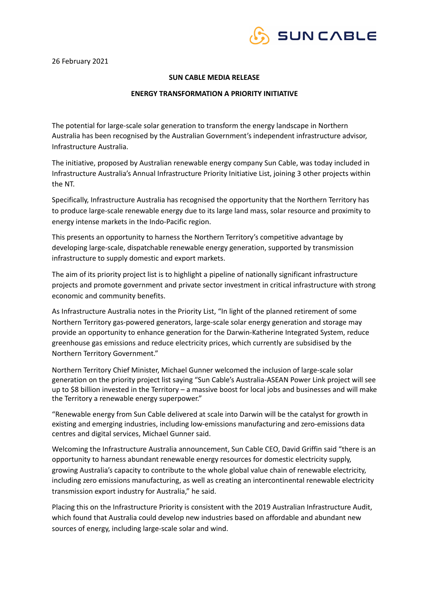

26 February 2021

# **SUN CABLE MEDIA RELEASE**

## **ENERGY TRANSFORMATION A PRIORITY INITIATIVE**

The potential for large-scale solar generation to transform the energy landscape in Northern Australia has been recognised by the Australian Government's independent infrastructure advisor, Infrastructure Australia.

The initiative, proposed by Australian renewable energy company Sun Cable, was today included in Infrastructure Australia's Annual Infrastructure Priority Initiative List, joining 3 other projects within the NT.

Specifically, Infrastructure Australia has recognised the opportunity that the Northern Territory has to produce large-scale renewable energy due to its large land mass, solar resource and proximity to energy intense markets in the Indo-Pacific region.

This presents an opportunity to harness the Northern Territory's competitive advantage by developing large-scale, dispatchable renewable energy generation, supported by transmission infrastructure to supply domestic and export markets.

The aim of its priority project list is to highlight a pipeline of nationally significant infrastructure projects and promote government and private sector investment in critical infrastructure with strong economic and community benefits.

As Infrastructure Australia notes in the Priority List, "In light of the planned retirement of some Northern Territory gas-powered generators, large-scale solar energy generation and storage may provide an opportunity to enhance generation for the Darwin-Katherine Integrated System, reduce greenhouse gas emissions and reduce electricity prices, which currently are subsidised by the Northern Territory Government."

Northern Territory Chief Minister, Michael Gunner welcomed the inclusion of large-scale solar generation on the priority project list saying "Sun Cable's Australia-ASEAN Power Link project will see up to \$8 billion invested in the Territory – a massive boost for local jobs and businesses and will make the Territory a renewable energy superpower."

"Renewable energy from Sun Cable delivered at scale into Darwin will be the catalyst for growth in existing and emerging industries, including low-emissions manufacturing and zero-emissions data centres and digital services, Michael Gunner said.

Welcoming the Infrastructure Australia announcement, Sun Cable CEO, David Griffin said "there is an opportunity to harness abundant renewable energy resources for domestic electricity supply, growing Australia's capacity to contribute to the whole global value chain of renewable electricity, including zero emissions manufacturing, as well as creating an intercontinental renewable electricity transmission export industry for Australia," he said.

Placing this on the Infrastructure Priority is consistent with the 2019 Australian Infrastructure Audit, which found that Australia could develop new industries based on affordable and abundant new sources of energy, including large-scale solar and wind.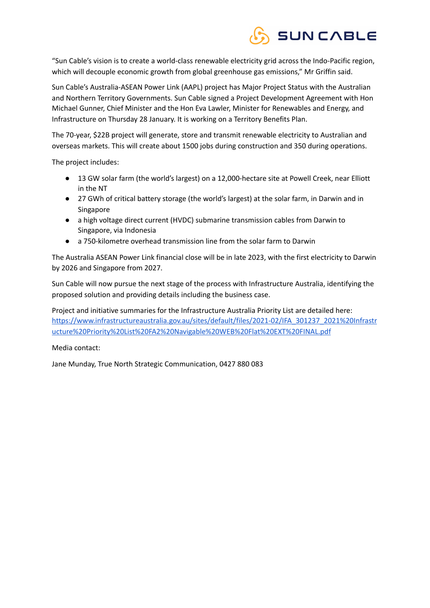

"Sun Cable's vision is to create a world-class renewable electricity grid across the Indo-Pacific region, which will decouple economic growth from global greenhouse gas emissions," Mr Griffin said.

Sun Cable's Australia-ASEAN Power Link (AAPL) project has Major Project Status with the Australian and Northern Territory Governments. Sun Cable signed a Project Development Agreement with Hon Michael Gunner, Chief Minister and the Hon Eva Lawler, Minister for Renewables and Energy, and Infrastructure on Thursday 28 January. It is working on a Territory Benefits Plan.

The 70-year, \$22B project will generate, store and transmit renewable electricity to Australian and overseas markets. This will create about 1500 jobs during construction and 350 during operations.

The project includes:

- 13 GW solar farm (the world's largest) on a 12,000-hectare site at Powell Creek, near Elliott in the NT
- 27 GWh of critical battery storage (the world's largest) at the solar farm, in Darwin and in Singapore
- a high voltage direct current (HVDC) submarine transmission cables from Darwin to Singapore, via Indonesia
- a 750-kilometre overhead transmission line from the solar farm to Darwin

The Australia ASEAN Power Link financial close will be in late 2023, with the first electricity to Darwin by 2026 and Singapore from 2027.

Sun Cable will now pursue the next stage of the process with Infrastructure Australia, identifying the proposed solution and providing details including the business case.

Project and initiative summaries for the Infrastructure Australia Priority List are detailed here: [https://www.infrastructureaustralia.gov.au/sites/default/files/2021-02/IFA\\_301237\\_2021%20Infrastr](https://www.infrastructureaustralia.gov.au/sites/default/files/2021-02/IFA_301237_2021%20Infrastructure%20Priority%20List%20FA2%20Navigable%20WEB%20Flat%20EXT%20FINAL.pdf) [ucture%20Priority%20List%20FA2%20Navigable%20WEB%20Flat%20EXT%20FINAL.pdf](https://www.infrastructureaustralia.gov.au/sites/default/files/2021-02/IFA_301237_2021%20Infrastructure%20Priority%20List%20FA2%20Navigable%20WEB%20Flat%20EXT%20FINAL.pdf) 

Media contact:

Jane Munday, True North Strategic Communication, 0427 880 083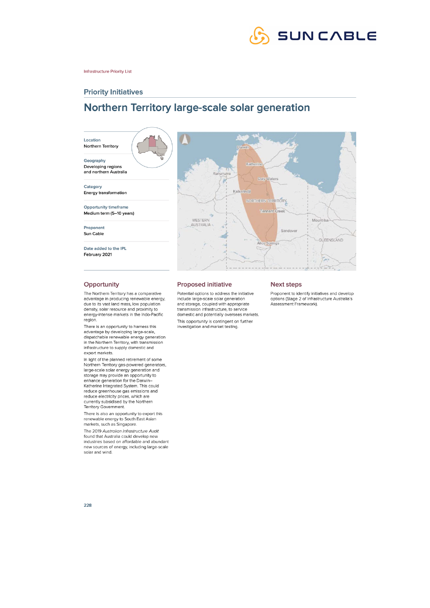

#### **Infrastructure Priority List**

## **Priority Initiatives**

# Northern Territory large-scale solar generation



#### Opportunity

The Northern Territory has a comparative advantage in producing renewable energy, due to its vast land mass, low population density, solar resource and proximity to<br>energy-intense markets in the Indo-Pacific region.

There is an opportunity to harness this advantage by developing large-scale,<br>dispatchable renewable energy generation in the Northern Territory, with transmission infrastructure to supply domestic and export markets.

In light of the planned retirement of some Northern Territory gas-powered generators, large-scale solar energy generation and<br>storage may provide an opportunity to enhance generation for the Darwin-<br>Katherine Integrated System. This could reduce greenhouse gas emissions and reduce electricity prices, which are currently subsidised by the Northern Territory Government.

There is also an opportunity to export this renewable energy to South East Asian<br>markets, such as Singapore.

The 2019 Australian Infrastructure Audit found that Australia could develop new industries based on affordable and abundant new sources of energy, including large-scale solar and wind.

#### **Proposed initiative**

Potential options to address the initiative include large-scale solar generation and storage, coupled with appropriate transmission infrastructure, to service domestic and potentially overseas markets. This opportunity is contingent on further investigation and market testing.

#### **Next steps**

Proponent to identify initiatives and develop<br>options (Stage 2 of Infrastructure Australia's Assessment Framework).